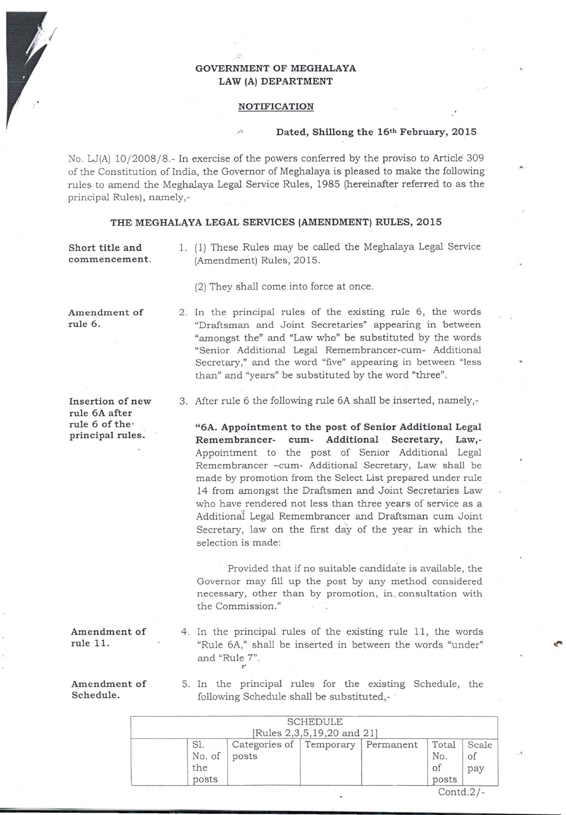# **GOVERNMENT OF MEGHALAYA**  LAW (A) DEPARTMENT

### **NOTIFICATION**

## Dated, Shillong the 16<sup>th</sup> February, 2015

No. W(A) 10/2008/8.- In exercise of the powers conferred by the proviso to Article 309 of the Constitution of India, the Governor of Meghalaya is pleased to make the following rules to amend the Meghalaya Legal Service Rules, 1985 (hereinafter referred to as the principal Rules), namely,-

## THE MEGHALAYA LEGAL SERVICES (AMENDMENT) RULES, 2015

(2) They shall come into force at once .

**Short title and commencement.**  1. ( 1) These Rules may be called the Meghalaya Legal Service (Amendment) Rules, 2015.

2. In the principal rules of the existing rule 6, the words "Draftsman and Joint Secretaries" appearing in between "amongst the" and "Law who" be substituted by the words "Senior Additional Legal Remembrancer-cum- Additional Secretary," and the word "five" appearing in between "less

**Amendment of rule 6 .** 

**Insertion of new rule 6A after rule 6 of the principal rules.** 

3. After rule 6 the following rule 6A shall be inserted, namely,-

than" and "years" be substituted by the word "three".

**"6A. Appointment to the post of Senior Additional Legal Remembrancer- cum- Additional Secretary, Law,-** Appointment to the post of Senior Additional Legal Remembrancer -cum- Additional Secretary, Law shall be made by promotion from the Select List prepared under rule 14 from amongst the Draftsmen and Joint Secretaries Law who have rendered not less than three years of service as a Additional Legal Remembrancer and Draftsman cum Joint Secretary, law on the first day of the year in which the selection is made:

Provided that if no suitable candidate is available, the Governor may fill up the post by any method considered necessary, other than by promotion, in . consultation with the Commission."

4 . In the principal rules of the existing rule 11, the words "Rule 6A," shall be inserted in between the words "under" and "Rule 7".

**Amendment of Schedule.** 

5. In the principal rules for the existing Schedule, the following Schedule shall be substituted,- .

|                               |                                  | <b>SCHEDULE</b>            |           |                             |              |
|-------------------------------|----------------------------------|----------------------------|-----------|-----------------------------|--------------|
|                               |                                  | [Rules 2,3,5,19,20 and 21] |           |                             |              |
| Sl.<br>No. of<br>the<br>posts | Categories of Temporary<br>posts |                            | Permanent | Total<br>No.<br>οf<br>posts | Scale<br>pay |
|                               |                                  |                            |           | $\text{Contd.2}/$           |              |

t"

**Amendment of** 

**rule 11.**